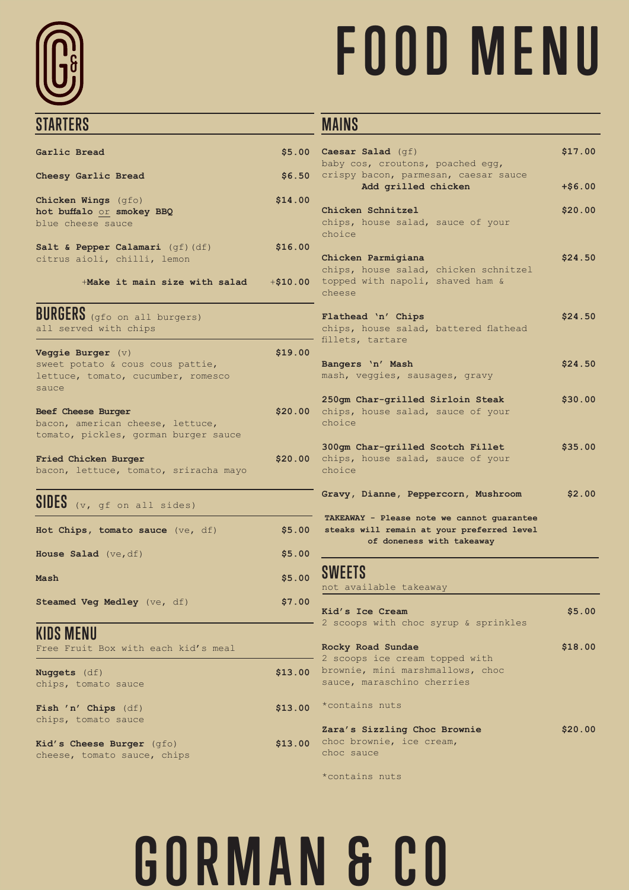# **STARTERS**

# **FOOD MENU**

#### **MAINS**

|                    | $$5.00$ Caesar Salad (qf)<br>baby cos, croutons, poached egg,                                                         | \$17.00   |
|--------------------|-----------------------------------------------------------------------------------------------------------------------|-----------|
| \$6.50             | crispy bacon, parmesan, caesar sauce<br>Add grilled chicken                                                           | $+ $6.00$ |
| \$14.00            | Chicken Schnitzel<br>chips, house salad, sauce of your<br>choice                                                      | \$20.00   |
| \$16.00<br>\$10.00 | Chicken Parmigiana<br>chips, house salad, chicken schnitzel<br>topped with napoli, shaved ham &                       | \$24.50   |
|                    | cheese                                                                                                                |           |
|                    | Flathead 'n' Chips<br>chips, house salad, battered flathead<br>fillets, tartare                                       | \$24.50   |
| \$19.00            | Bangers 'n' Mash<br>mash, veggies, sausages, gravy                                                                    | \$24.50   |
| \$20.00            | 250gm Char-grilled Sirloin Steak<br>chips, house salad, sauce of your<br>choice                                       | \$30.00   |
| \$20.00            | 300gm Char-grilled Scotch Fillet<br>chips, house salad, sauce of your<br>choice                                       | \$35.00   |
|                    | Gravy, Dianne, Peppercorn, Mushroom                                                                                   | \$2.00    |
| \$5.00             | TAKEAWAY - Please note we cannot guarantee<br>steaks will remain at your preferred level<br>of doneness with takeaway |           |
| \$5.00             |                                                                                                                       |           |
| \$5.00             | SWEETS<br>not available takeaway                                                                                      |           |
| \$7.00             | Kid's Ice Cream<br>2 scoops with choc syrup & sprinkles                                                               | \$5.00    |
|                    | Rocky Road Sundae                                                                                                     | \$18.00   |
| \$13.00            | 2 scoops ice cream topped with<br>brownie, mini marshmallows, choc<br>sauce, maraschino cherries                      |           |
| \$13.00            | *contains nuts                                                                                                        |           |
| \$13.00            | Zara's Sizzling Choc Brownie<br>choc brownie, ice cream,<br>choc sauce                                                | \$20.00   |
|                    | *contains nuts                                                                                                        |           |

| Garlic Bread                                                                                           |         |
|--------------------------------------------------------------------------------------------------------|---------|
|                                                                                                        | \$5.00  |
| Cheesy Garlic Bread                                                                                    | \$6.50  |
| Chicken Wings (qfo)<br>hot buffalo or smokey BBQ<br>blue cheese sauce                                  | \$14.00 |
| Salt & Pepper Calamari (qf) (df)<br>citrus aioli, chilli, lemon                                        | \$16.00 |
| $+$ Make it main size with salad $+$ \$10.00                                                           |         |
| BURGERS (gfo on all burgers)<br>all served with chips                                                  |         |
| Veggie Burger $(v)$<br>sweet potato & cous cous pattie,<br>lettuce, tomato, cucumber, romesco<br>sauce | \$19.00 |
| Beef Cheese Burger<br>bacon, american cheese, lettuce,<br>tomato, pickles, gorman burger sauce         | \$20.00 |
| Fried Chicken Burger<br>bacon, lettuce, tomato, sriracha mayo                                          | \$20.00 |
| SIDES (v, gf on all sides)                                                                             |         |
| Hot Chips, tomato sauce (ve, df)                                                                       | \$5.00  |
| House Salad (ve, df)                                                                                   | \$5.00  |
| Mash                                                                                                   | \$5.00  |
|                                                                                                        | \$7.00  |
| Steamed Veg Medley (ve, df)                                                                            |         |
| KIDS MENU<br>Free Fruit Box with each kid's meal                                                       |         |

**Fish 'n' Chips** (df) chips, tomato sauce

**Kid's Cheese Burger** (gfo) cheese, tomato sauce, chips

## **GORMAN & CO**